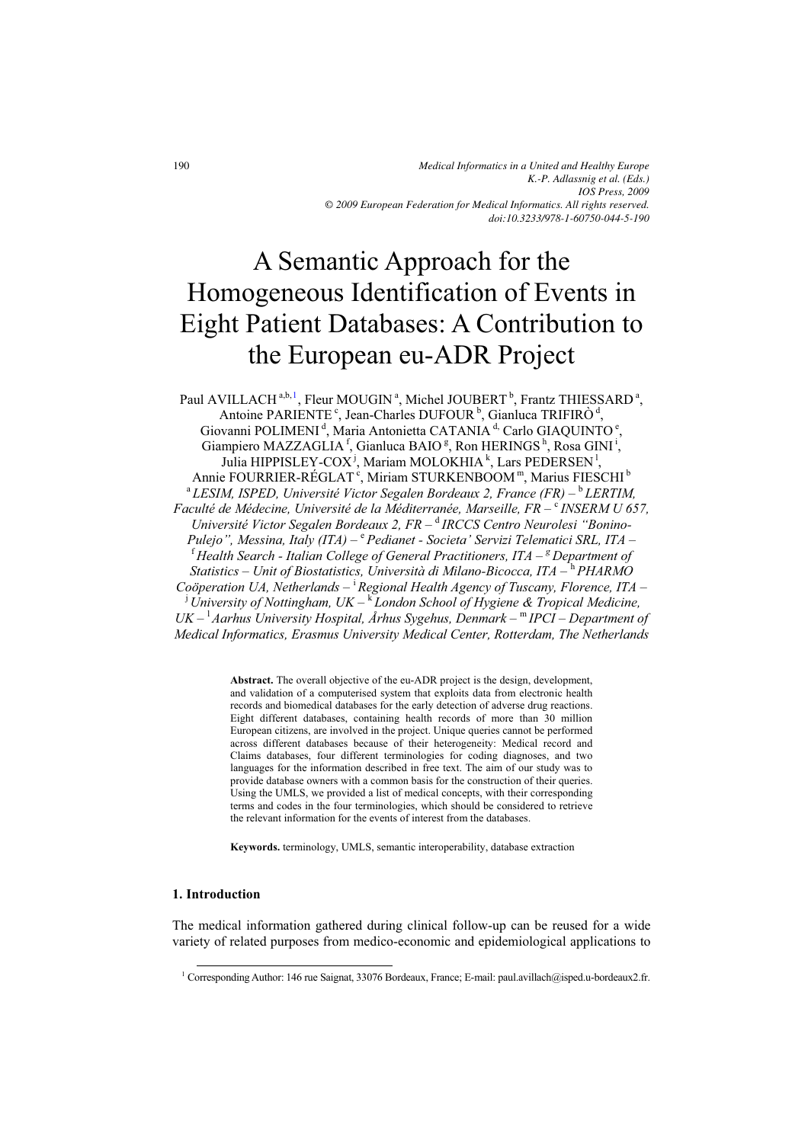# A Semantic Approach for the Homogeneous Identification of Events in Eight Patient Databases: A Contribution to the European eu-ADR Project

Paul AVILLACH<sup>a,b,1</sup>, Fleur MOUGIN<sup>a</sup>, Michel JOUBERT<sup>b</sup>, Frantz THIESSARD<sup>a</sup>, Antoine PARIENTE<sup>c</sup>, Jean-Charles DUFOUR<sup>b</sup>, Gianluca TRIFIRÒ<sup>d</sup>, Giovanni POLIMENI<sup>d</sup>, Maria Antonietta CATANIA<sup>d,</sup> Carlo GIAQUINTO<sup>e</sup>, Giampiero MAZZAGLIA<sup>f</sup>, Gianluca BAIO<sup>g</sup>, Ron HERINGS<sup>h</sup>, Rosa GINI<sup>i</sup>, Julia HIPPISLEY-COX<sup>j</sup>, Mariam MOLOKHIA<sup>k</sup>, Lars PEDERSEN<sup>1</sup>, Annie FOURRIER-RÉGLAT<sup>c</sup>, Miriam STURKENBOOM<sup>m</sup>, Marius FIESCHI<sup>b</sup> <sup>a</sup> LESIM, ISPED, Université Victor Segalen Bordeaux 2, France (FR) – <sup>b</sup> LERTIM, Faculté de Médecine, Université de la Méditerranée, Marseille, FR – <sup>c</sup> INSERM U 657, *Université Victor Segalen Bordeaux 2, FR –*  d *IRCCS Centro Neurolesi "Bonino-Pulejo", Messina, Italy (ITA) –*  <sup>e</sup> *Pedianet - Societa' Servizi Telematici SRL, ITA –*  <sup>f</sup> *Health Search - Italian College of General Practitioners, ITA – <sup>g</sup> Department of Statistics – Unit of Biostatistics, Università di Milano-Bicocca, ITA –* <sup>h</sup> *PHARMO Coöperation UA, Netherlands –* <sup>i</sup> *Regional Health Agency of Tuscany, Florence, ITA –*  <sup>j</sup> *University of Nottingham, UK –* <sup>k</sup> *London School of Hygiene & Tropical Medicine,*  UK – <sup>1</sup> Aarhus University Hospital, Århus Sygehus, Denmark – <sup>m</sup> IPCI – Department of *Medical Informatics, Erasmus University Medical Center, Rotterdam, The Netherlands* 

> **Abstract.** The overall objective of the eu-ADR project is the design, development, and validation of a computerised system that exploits data from electronic health records and biomedical databases for the early detection of adverse drug reactions. Eight different databases, containing health records of more than 30 million European citizens, are involved in the project. Unique queries cannot be performed across different databases because of their heterogeneity: Medical record and Claims databases, four different terminologies for coding diagnoses, and two languages for the information described in free text. The aim of our study was to provide database owners with a common basis for the construction of their queries. Using the UMLS, we provided a list of medical concepts, with their corresponding terms and codes in the four terminologies, which should be considered to retrieve the relevant information for the events of interest from the databases.

**Keywords.** terminology, UMLS, semantic interoperability, database extraction

#### **1. Introduction**

 $\overline{a}$ 

The medical information gathered during clinical follow-up can be reused for a wide variety of related purposes from medico-economic and epidemiological applications to

<sup>1</sup> Corresponding Author: 146 rue Saignat, 33076 Bordeaux, France; E-mail: paul.avillach@isped.u-bordeaux2.fr.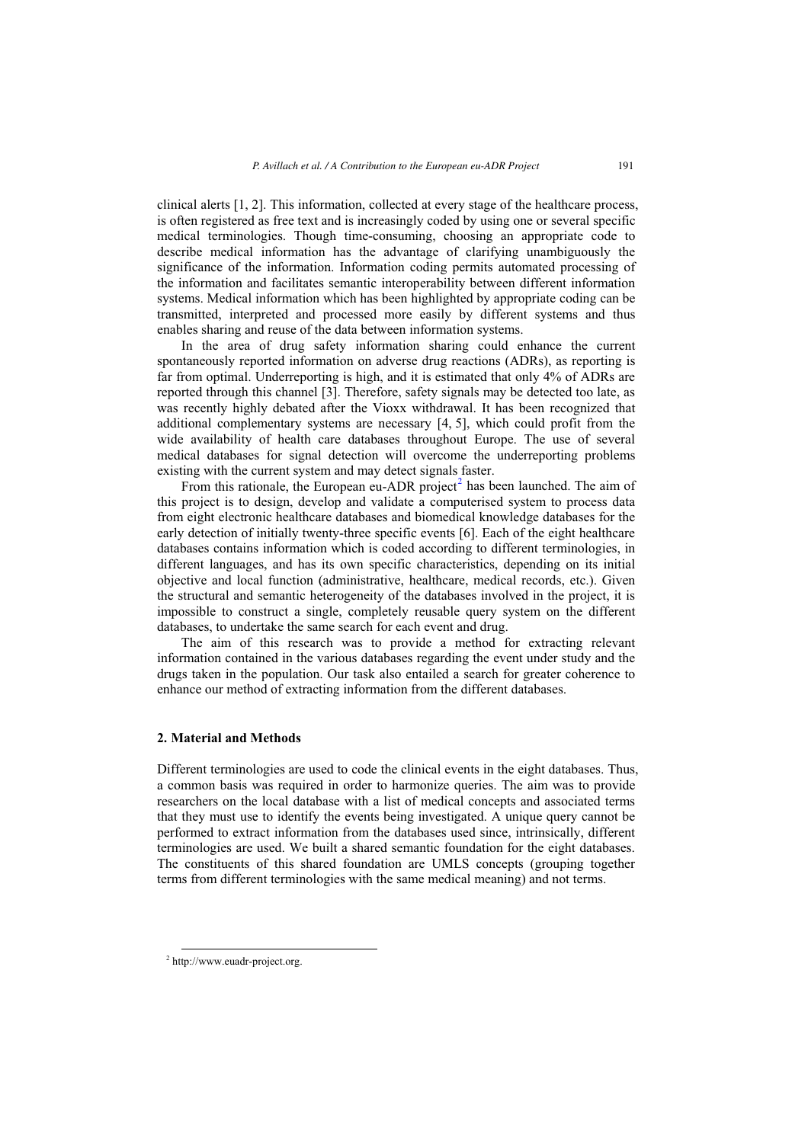clinical alerts [1, 2]. This information, collected at every stage of the healthcare process, is often registered as free text and is increasingly coded by using one or several specific medical terminologies. Though time-consuming, choosing an appropriate code to describe medical information has the advantage of clarifying unambiguously the significance of the information. Information coding permits automated processing of the information and facilitates semantic interoperability between different information systems. Medical information which has been highlighted by appropriate coding can be transmitted, interpreted and processed more easily by different systems and thus enables sharing and reuse of the data between information systems.

In the area of drug safety information sharing could enhance the current spontaneously reported information on adverse drug reactions (ADRs), as reporting is far from optimal. Underreporting is high, and it is estimated that only 4% of ADRs are reported through this channel [3]. Therefore, safety signals may be detected too late, as was recently highly debated after the Vioxx withdrawal. It has been recognized that additional complementary systems are necessary [4, 5], which could profit from the wide availability of health care databases throughout Europe. The use of several medical databases for signal detection will overcome the underreporting problems existing with the current system and may detect signals faster.

From this rationale, the European eu-ADR project<sup>2</sup> has been launched. The aim of this project is to design, develop and validate a computerised system to process data from eight electronic healthcare databases and biomedical knowledge databases for the early detection of initially twenty-three specific events [6]. Each of the eight healthcare databases contains information which is coded according to different terminologies, in different languages, and has its own specific characteristics, depending on its initial objective and local function (administrative, healthcare, medical records, etc.). Given the structural and semantic heterogeneity of the databases involved in the project, it is impossible to construct a single, completely reusable query system on the different databases, to undertake the same search for each event and drug.

The aim of this research was to provide a method for extracting relevant information contained in the various databases regarding the event under study and the drugs taken in the population. Our task also entailed a search for greater coherence to enhance our method of extracting information from the different databases.

# **2. Material and Methods**

Different terminologies are used to code the clinical events in the eight databases. Thus, a common basis was required in order to harmonize queries. The aim was to provide researchers on the local database with a list of medical concepts and associated terms that they must use to identify the events being investigated. A unique query cannot be performed to extract information from the databases used since, intrinsically, different terminologies are used. We built a shared semantic foundation for the eight databases. The constituents of this shared foundation are UMLS concepts (grouping together terms from different terminologies with the same medical meaning) and not terms.

 $\overline{a}$ 

<sup>2</sup> http://www.euadr-project.org.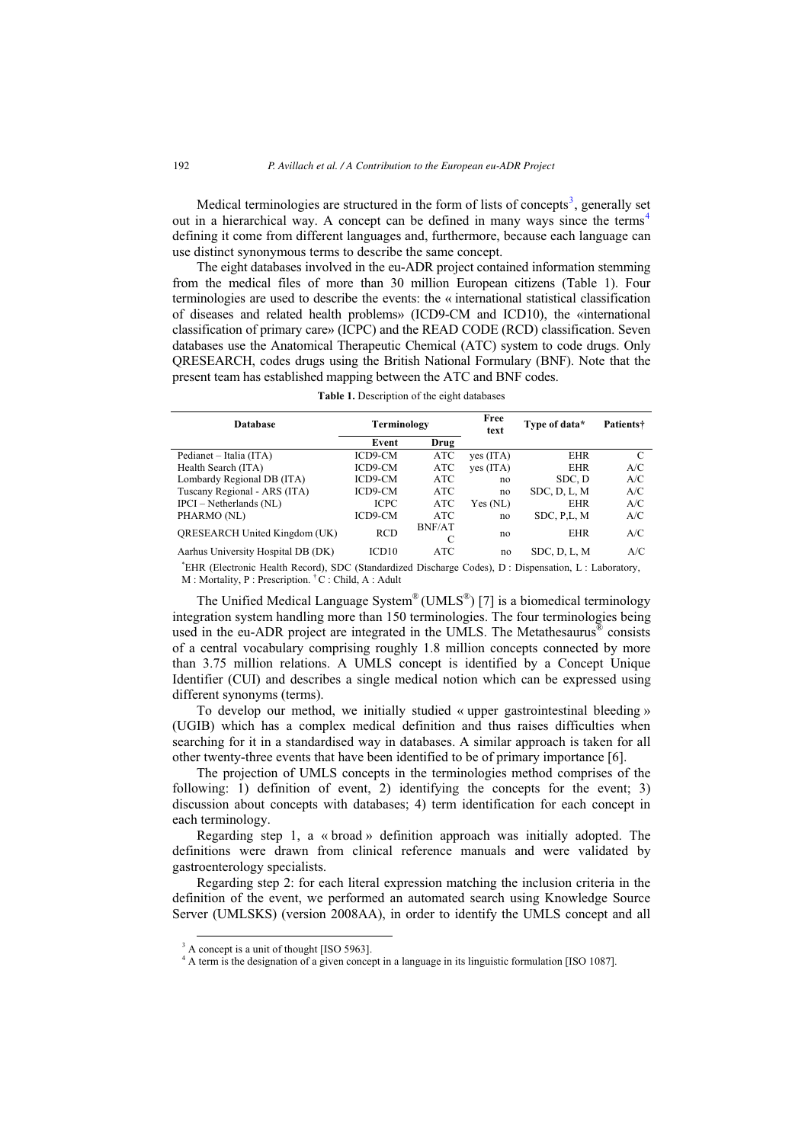Medical terminologies are structured in the form of lists of concepts<sup>3</sup>, generally set out in a hierarchical way. A concept can be defined in many ways since the terms<sup>4</sup> defining it come from different languages and, furthermore, because each language can use distinct synonymous terms to describe the same concept.

The eight databases involved in the eu-ADR project contained information stemming from the medical files of more than 30 million European citizens (Table 1). Four terminologies are used to describe the events: the « international statistical classification of diseases and related health problems» (ICD9-CM and ICD10), the «international classification of primary care» (ICPC) and the READ CODE (RCD) classification. Seven databases use the Anatomical Therapeutic Chemical (ATC) system to code drugs. Only QRESEARCH, codes drugs using the British National Formulary (BNF). Note that the present team has established mapping between the ATC and BNF codes.

**Table 1.** Description of the eight databases

| <b>Database</b>                      | Terminology       |                    | Free<br>text | Type of data* | Patients† |
|--------------------------------------|-------------------|--------------------|--------------|---------------|-----------|
|                                      | Event             | Drug               |              |               |           |
| Pedianet – Italia (ITA)              | ICD9-CM           | ATC                | yes (ITA)    | <b>EHR</b>    | C         |
| Health Search (ITA)                  | ICD9-CM           | ATC                | yes (ITA)    | <b>EHR</b>    | A/C       |
| Lombardy Regional DB (ITA)           | ICD9-CM           | ATC                | no           | SDC, D        | A/C       |
| Tuscany Regional - ARS (ITA)         | ICD9-CM           | ATC                | no           | SDC, D, L, M  | A/C       |
| $IPCI - Netherlands (NL)$            | <b>ICPC</b>       | ATC                | Yes (NL)     | <b>EHR</b>    | A/C       |
| PHARMO (NL)                          | ICD9-CM           | ATC                | no           | SDC, P.L. M   | A/C       |
| <b>ORESEARCH United Kingdom (UK)</b> | <b>RCD</b>        | <b>BNF/AT</b><br>C | no           | <b>EHR</b>    | A/C       |
| Aarhus University Hospital DB (DK)   | ICD <sub>10</sub> | ATC                | no           | SDC, D, L, M  | A/C       |
|                                      |                   |                    |              |               |           |

\*EHR (Electronic Health Record), SDC (Standardized Discharge Codes), D : Dispensation, L : Laboratory, M : Mortality, P : Prescription. <sup>†</sup>C : Child, A : Adult

The Unified Medical Language System<sup>®</sup> (UMLS<sup>®</sup>) [7] is a biomedical terminology integration system handling more than 150 terminologies. The four terminologies being used in the eu-ADR project are integrated in the UMLS. The Metathesaurus<sup>®</sup> consists of a central vocabulary comprising roughly 1.8 million concepts connected by more than 3.75 million relations. A UMLS concept is identified by a Concept Unique Identifier (CUI) and describes a single medical notion which can be expressed using different synonyms (terms).

To develop our method, we initially studied « upper gastrointestinal bleeding » (UGIB) which has a complex medical definition and thus raises difficulties when searching for it in a standardised way in databases. A similar approach is taken for all other twenty-three events that have been identified to be of primary importance [6].

The projection of UMLS concepts in the terminologies method comprises of the following: 1) definition of event, 2) identifying the concepts for the event; 3) discussion about concepts with databases; 4) term identification for each concept in each terminology.

Regarding step 1, a « broad » definition approach was initially adopted. The definitions were drawn from clinical reference manuals and were validated by gastroenterology specialists.

Regarding step 2: for each literal expression matching the inclusion criteria in the definition of the event, we performed an automated search using Knowledge Source Server (UMLSKS) (version 2008AA), in order to identify the UMLS concept and all

 $\overline{a}$ 

<sup>&</sup>lt;sup>3</sup> A concept is a unit of thought [ISO 5963].

<sup>&</sup>lt;sup>4</sup> A term is the designation of a given concept in a language in its linguistic formulation [ISO 1087].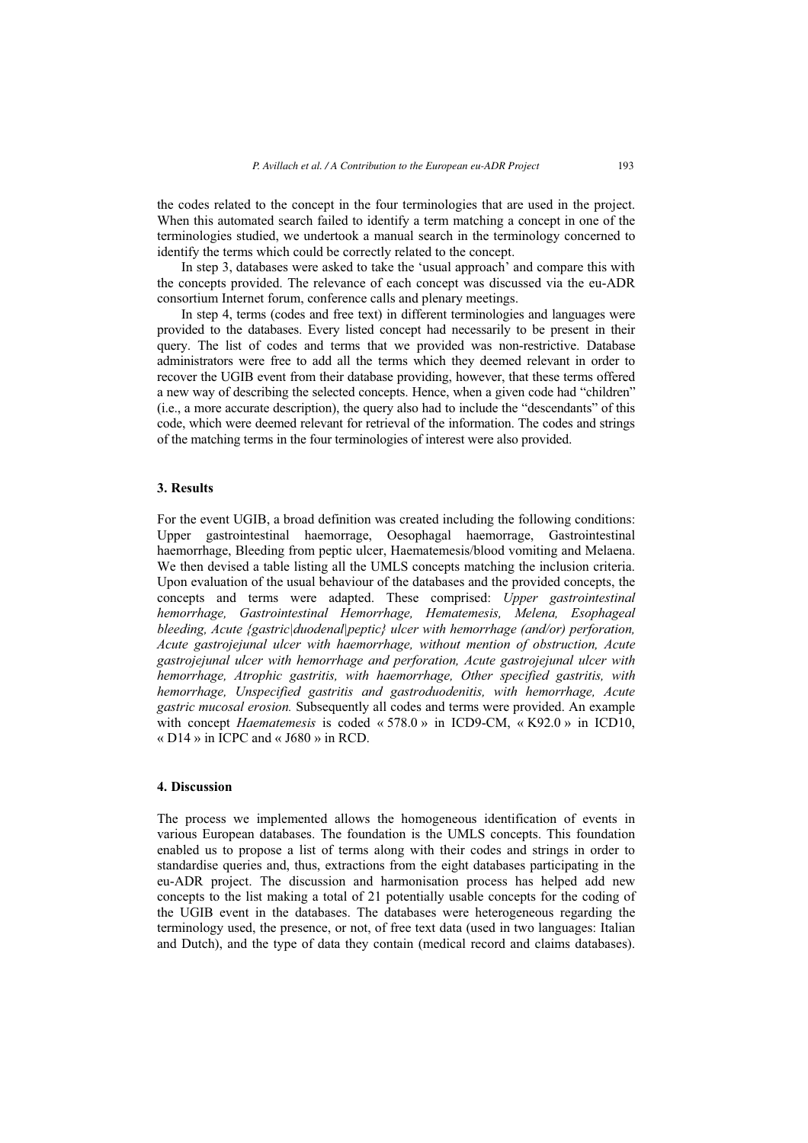the codes related to the concept in the four terminologies that are used in the project. When this automated search failed to identify a term matching a concept in one of the terminologies studied, we undertook a manual search in the terminology concerned to identify the terms which could be correctly related to the concept.

In step 3, databases were asked to take the 'usual approach' and compare this with the concepts provided. The relevance of each concept was discussed via the eu-ADR consortium Internet forum, conference calls and plenary meetings.

In step 4, terms (codes and free text) in different terminologies and languages were provided to the databases. Every listed concept had necessarily to be present in their query. The list of codes and terms that we provided was non-restrictive. Database administrators were free to add all the terms which they deemed relevant in order to recover the UGIB event from their database providing, however, that these terms offered a new way of describing the selected concepts. Hence, when a given code had "children" (i.e., a more accurate description), the query also had to include the "descendants" of this code, which were deemed relevant for retrieval of the information. The codes and strings of the matching terms in the four terminologies of interest were also provided.

## **3. Results**

For the event UGIB, a broad definition was created including the following conditions: Upper gastrointestinal haemorrage, Oesophagal haemorrage, Gastrointestinal haemorrhage, Bleeding from peptic ulcer, Haematemesis/blood vomiting and Melaena. We then devised a table listing all the UMLS concepts matching the inclusion criteria. Upon evaluation of the usual behaviour of the databases and the provided concepts, the concepts and terms were adapted. These comprised: *Upper gastrointestinal hemorrhage, Gastrointestinal Hemorrhage, Hematemesis, Melena, Esophageal bleeding, Acute {gastric|duodenal|peptic} ulcer with hemorrhage (and/or) perforation, Acute gastrojejunal ulcer with haemorrhage, without mention of obstruction, Acute gastrojejunal ulcer with hemorrhage and perforation, Acute gastrojejunal ulcer with hemorrhage, Atrophic gastritis, with haemorrhage, Other specified gastritis, with hemorrhage, Unspecified gastritis and gastroduodenitis, with hemorrhage, Acute gastric mucosal erosion.* Subsequently all codes and terms were provided. An example with concept *Haematemesis* is coded « 578.0 » in ICD9-CM, « K92.0 » in ICD10, « D14 » in ICPC and « J680 » in RCD.

## **4. Discussion**

The process we implemented allows the homogeneous identification of events in various European databases. The foundation is the UMLS concepts. This foundation enabled us to propose a list of terms along with their codes and strings in order to standardise queries and, thus, extractions from the eight databases participating in the eu-ADR project. The discussion and harmonisation process has helped add new concepts to the list making a total of 21 potentially usable concepts for the coding of the UGIB event in the databases. The databases were heterogeneous regarding the terminology used, the presence, or not, of free text data (used in two languages: Italian and Dutch), and the type of data they contain (medical record and claims databases).